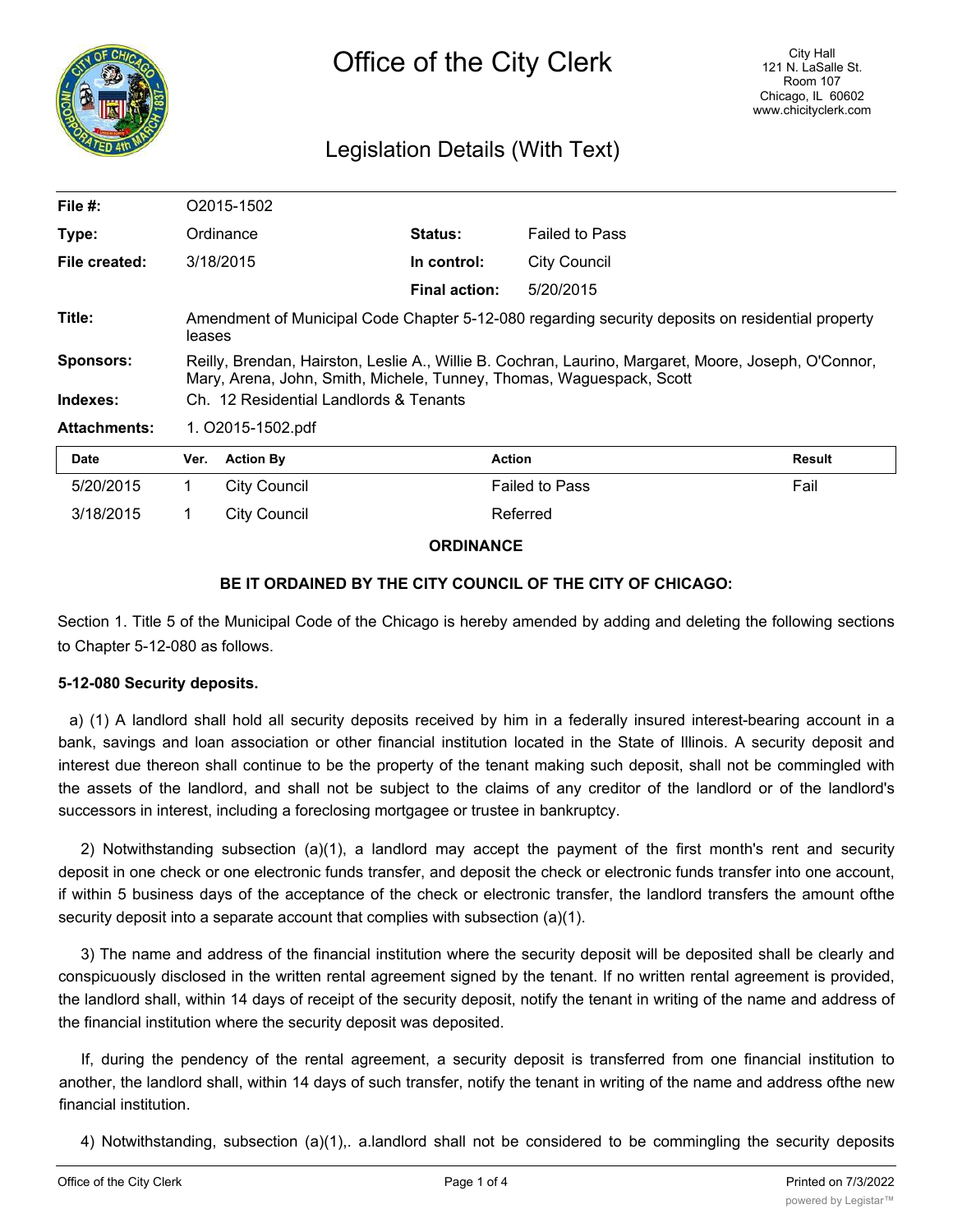

# Legislation Details (With Text)

| File #:             | O2015-1502                                                                                                                                                                   |                      |                       |               |  |
|---------------------|------------------------------------------------------------------------------------------------------------------------------------------------------------------------------|----------------------|-----------------------|---------------|--|
| Type:               | Ordinance                                                                                                                                                                    | <b>Status:</b>       | <b>Failed to Pass</b> |               |  |
| File created:       | 3/18/2015                                                                                                                                                                    | In control:          | <b>City Council</b>   |               |  |
|                     |                                                                                                                                                                              | <b>Final action:</b> | 5/20/2015             |               |  |
| Title:              | Amendment of Municipal Code Chapter 5-12-080 regarding security deposits on residential property<br>leases                                                                   |                      |                       |               |  |
| <b>Sponsors:</b>    | Reilly, Brendan, Hairston, Leslie A., Willie B. Cochran, Laurino, Margaret, Moore, Joseph, O'Connor,<br>Mary, Arena, John, Smith, Michele, Tunney, Thomas, Waguespack, Scott |                      |                       |               |  |
| Indexes:            | Ch. 12 Residential Landlords & Tenants                                                                                                                                       |                      |                       |               |  |
| <b>Attachments:</b> | 1. O2015-1502.pdf                                                                                                                                                            |                      |                       |               |  |
| <b>Date</b>         | <b>Action By</b><br>Ver.                                                                                                                                                     | <b>Action</b>        |                       | <b>Result</b> |  |

| Date      | Ver. | <b>Action By</b> | Action                | Result |
|-----------|------|------------------|-----------------------|--------|
| 5/20/2015 |      | City Council     | <b>Failed to Pass</b> | Fail   |
| 3/18/2015 |      | City Council     | Referred              |        |

### **ORDINANCE**

### **BE IT ORDAINED BY THE CITY COUNCIL OF THE CITY OF CHICAGO:**

Section 1. Title 5 of the Municipal Code of the Chicago is hereby amended by adding and deleting the following sections to Chapter 5-12-080 as follows.

### **5-12-080 Security deposits.**

a) (1) A landlord shall hold all security deposits received by him in a federally insured interest-bearing account in a bank, savings and loan association or other financial institution located in the State of Illinois. A security deposit and interest due thereon shall continue to be the property of the tenant making such deposit, shall not be commingled with the assets of the landlord, and shall not be subject to the claims of any creditor of the landlord or of the landlord's successors in interest, including a foreclosing mortgagee or trustee in bankruptcy.

2) Notwithstanding subsection (a)(1), a landlord may accept the payment of the first month's rent and security deposit in one check or one electronic funds transfer, and deposit the check or electronic funds transfer into one account, if within 5 business days of the acceptance of the check or electronic transfer, the landlord transfers the amount ofthe security deposit into a separate account that complies with subsection (a)(1).

3) The name and address of the financial institution where the security deposit will be deposited shall be clearly and conspicuously disclosed in the written rental agreement signed by the tenant. If no written rental agreement is provided, the landlord shall, within 14 days of receipt of the security deposit, notify the tenant in writing of the name and address of the financial institution where the security deposit was deposited.

If, during the pendency of the rental agreement, a security deposit is transferred from one financial institution to another, the landlord shall, within 14 days of such transfer, notify the tenant in writing of the name and address ofthe new financial institution.

4) Notwithstanding, subsection (a)(1),. a.landlord shall not be considered to be commingling the security deposits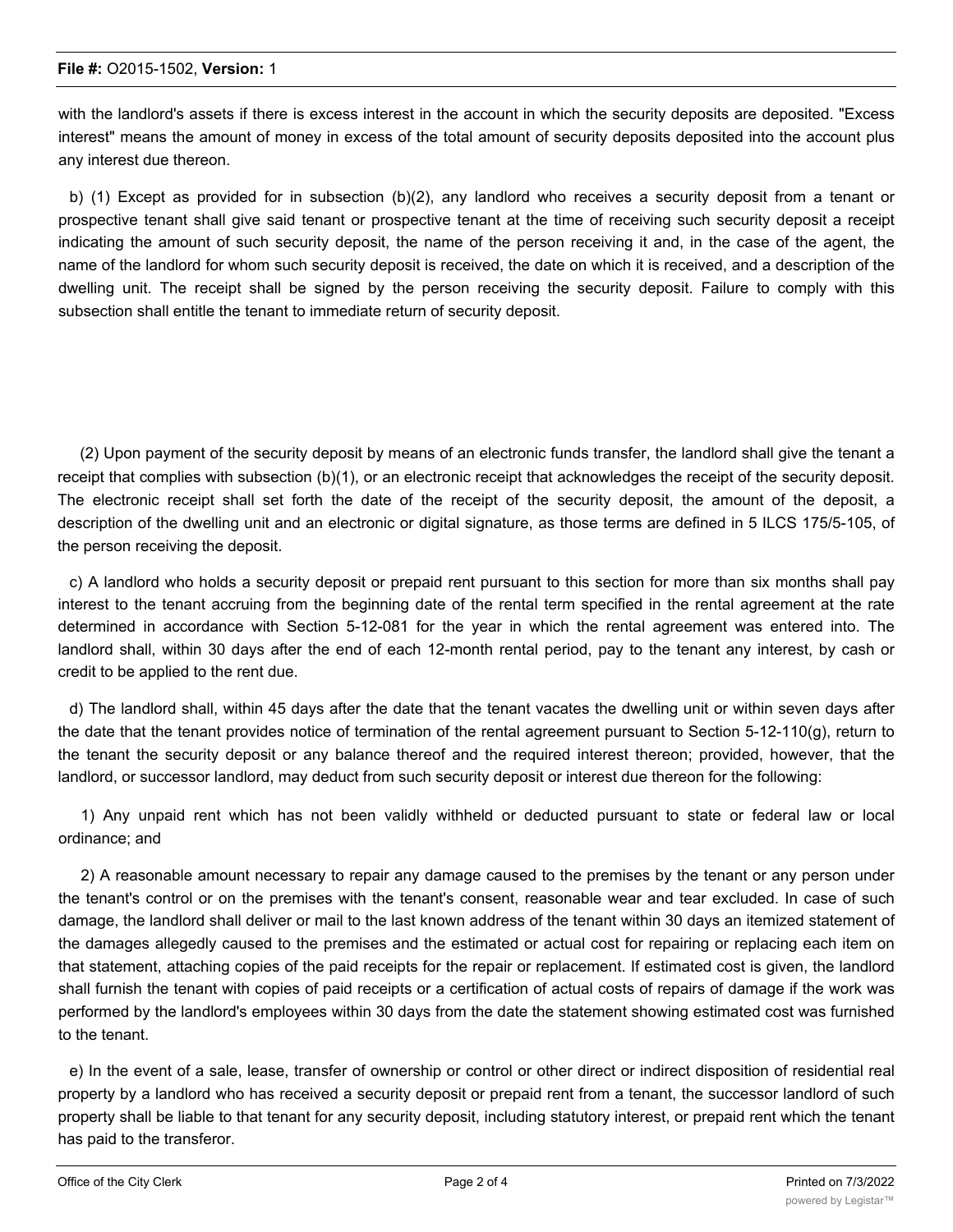with the landlord's assets if there is excess interest in the account in which the security deposits are deposited. "Excess interest" means the amount of money in excess of the total amount of security deposits deposited into the account plus any interest due thereon.

b) (1) Except as provided for in subsection (b)(2), any landlord who receives a security deposit from a tenant or prospective tenant shall give said tenant or prospective tenant at the time of receiving such security deposit a receipt indicating the amount of such security deposit, the name of the person receiving it and, in the case of the agent, the name of the landlord for whom such security deposit is received, the date on which it is received, and a description of the dwelling unit. The receipt shall be signed by the person receiving the security deposit. Failure to comply with this subsection shall entitle the tenant to immediate return of security deposit.

(2) Upon payment of the security deposit by means of an electronic funds transfer, the landlord shall give the tenant a receipt that complies with subsection (b)(1), or an electronic receipt that acknowledges the receipt of the security deposit. The electronic receipt shall set forth the date of the receipt of the security deposit, the amount of the deposit, a description of the dwelling unit and an electronic or digital signature, as those terms are defined in 5 ILCS 175/5-105, of the person receiving the deposit.

c) A landlord who holds a security deposit or prepaid rent pursuant to this section for more than six months shall pay interest to the tenant accruing from the beginning date of the rental term specified in the rental agreement at the rate determined in accordance with Section 5-12-081 for the year in which the rental agreement was entered into. The landlord shall, within 30 days after the end of each 12-month rental period, pay to the tenant any interest, by cash or credit to be applied to the rent due.

d) The landlord shall, within 45 days after the date that the tenant vacates the dwelling unit or within seven days after the date that the tenant provides notice of termination of the rental agreement pursuant to Section 5-12-110(g), return to the tenant the security deposit or any balance thereof and the required interest thereon; provided, however, that the landlord, or successor landlord, may deduct from such security deposit or interest due thereon for the following:

1) Any unpaid rent which has not been validly withheld or deducted pursuant to state or federal law or local ordinance; and

2) A reasonable amount necessary to repair any damage caused to the premises by the tenant or any person under the tenant's control or on the premises with the tenant's consent, reasonable wear and tear excluded. In case of such damage, the landlord shall deliver or mail to the last known address of the tenant within 30 days an itemized statement of the damages allegedly caused to the premises and the estimated or actual cost for repairing or replacing each item on that statement, attaching copies of the paid receipts for the repair or replacement. If estimated cost is given, the landlord shall furnish the tenant with copies of paid receipts or a certification of actual costs of repairs of damage if the work was performed by the landlord's employees within 30 days from the date the statement showing estimated cost was furnished to the tenant.

e) In the event of a sale, lease, transfer of ownership or control or other direct or indirect disposition of residential real property by a landlord who has received a security deposit or prepaid rent from a tenant, the successor landlord of such property shall be liable to that tenant for any security deposit, including statutory interest, or prepaid rent which the tenant has paid to the transferor.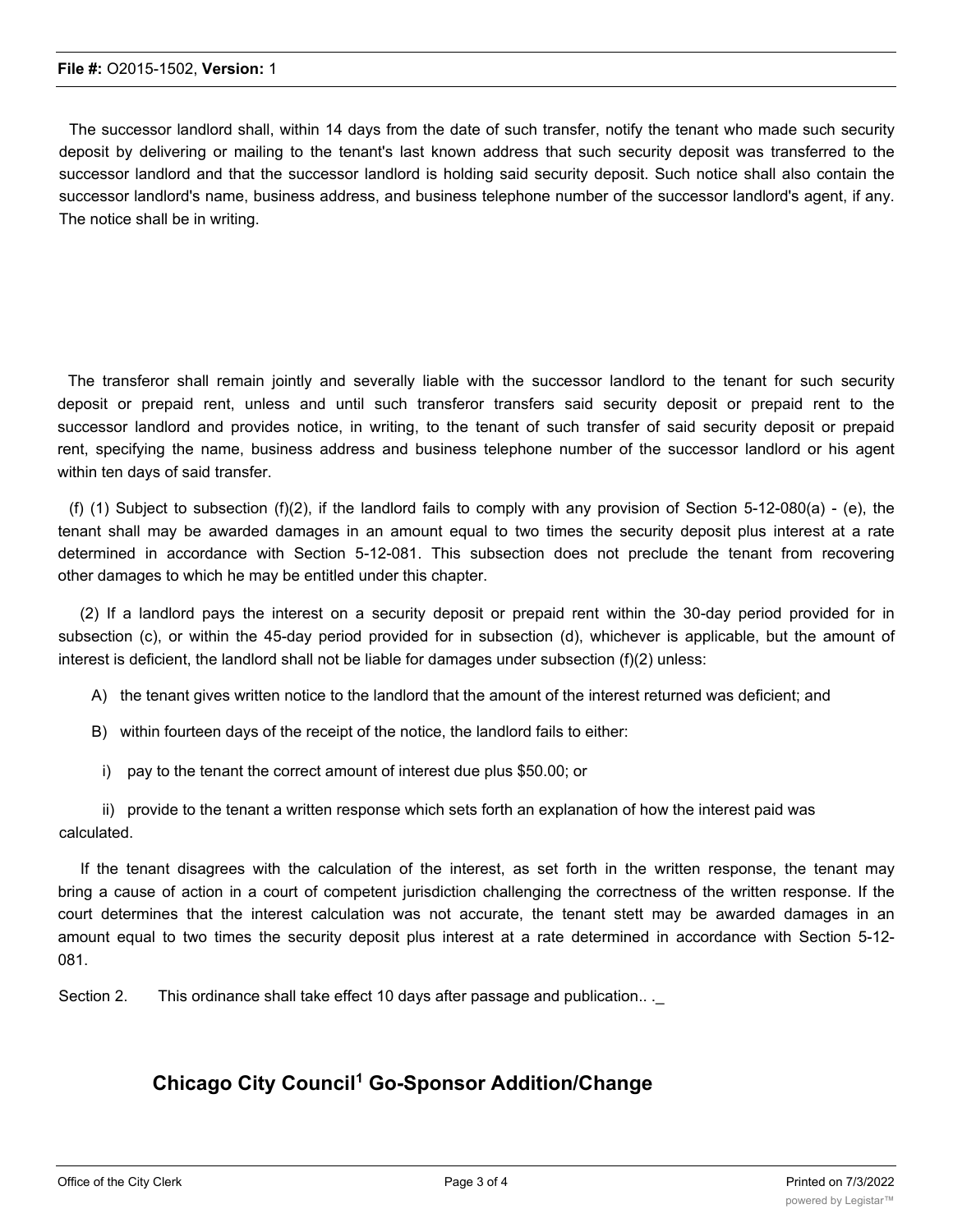The successor landlord shall, within 14 days from the date of such transfer, notify the tenant who made such security deposit by delivering or mailing to the tenant's last known address that such security deposit was transferred to the successor landlord and that the successor landlord is holding said security deposit. Such notice shall also contain the successor landlord's name, business address, and business telephone number of the successor landlord's agent, if any. The notice shall be in writing.

The transferor shall remain jointly and severally liable with the successor landlord to the tenant for such security deposit or prepaid rent, unless and until such transferor transfers said security deposit or prepaid rent to the successor landlord and provides notice, in writing, to the tenant of such transfer of said security deposit or prepaid rent, specifying the name, business address and business telephone number of the successor landlord or his agent within ten days of said transfer.

(f) (1) Subject to subsection (f)(2), if the landlord fails to comply with any provision of Section 5-12-080(a) - (e), the tenant shall may be awarded damages in an amount equal to two times the security deposit plus interest at a rate determined in accordance with Section 5-12-081. This subsection does not preclude the tenant from recovering other damages to which he may be entitled under this chapter.

(2) If a landlord pays the interest on a security deposit or prepaid rent within the 30-day period provided for in subsection (c), or within the 45-day period provided for in subsection (d), whichever is applicable, but the amount of interest is deficient, the landlord shall not be liable for damages under subsection (f)(2) unless:

A) the tenant gives written notice to the landlord that the amount of the interest returned was deficient; and

- B) within fourteen days of the receipt of the notice, the landlord fails to either:
- i) pay to the tenant the correct amount of interest due plus \$50.00; or

ii) provide to the tenant a written response which sets forth an explanation of how the interest paid was calculated.

If the tenant disagrees with the calculation of the interest, as set forth in the written response, the tenant may bring a cause of action in a court of competent jurisdiction challenging the correctness of the written response. If the court determines that the interest calculation was not accurate, the tenant stett may be awarded damages in an amount equal to two times the security deposit plus interest at a rate determined in accordance with Section 5-12- 081.

Section 2. This ordinance shall take effect 10 days after passage and publication...

## **Chicago City Council1 Go-Sponsor Addition/Change**